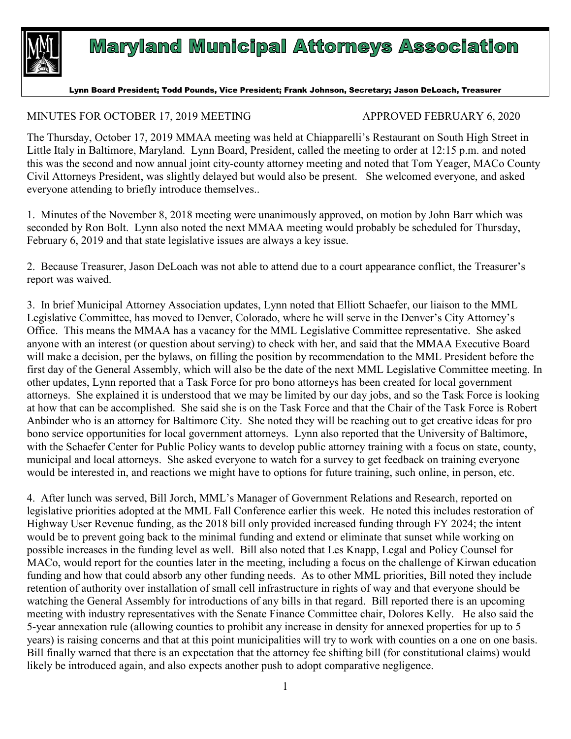

## **Maryland Municipal Attorneys Association**

Lynn Board President; Todd Pounds, Vice President; Frank Johnson, Secretary; Jason DeLoach, Treasurer

## MINUTES FOR OCTOBER 17, 2019 MEETING APPROVED FEBRUARY 6, 2020

The Thursday, October 17, 2019 MMAA meeting was held at Chiapparelli's Restaurant on South High Street in Little Italy in Baltimore, Maryland. Lynn Board, President, called the meeting to order at 12:15 p.m. and noted this was the second and now annual joint city-county attorney meeting and noted that Tom Yeager, MACo County Civil Attorneys President, was slightly delayed but would also be present. She welcomed everyone, and asked everyone attending to briefly introduce themselves..

1. Minutes of the November 8, 2018 meeting were unanimously approved, on motion by John Barr which was seconded by Ron Bolt. Lynn also noted the next MMAA meeting would probably be scheduled for Thursday, February 6, 2019 and that state legislative issues are always a key issue.

2. Because Treasurer, Jason DeLoach was not able to attend due to a court appearance conflict, the Treasurer's report was waived.

3. In brief Municipal Attorney Association updates, Lynn noted that Elliott Schaefer, our liaison to the MML Legislative Committee, has moved to Denver, Colorado, where he will serve in the Denver's City Attorney's Office. This means the MMAA has a vacancy for the MML Legislative Committee representative. She asked anyone with an interest (or question about serving) to check with her, and said that the MMAA Executive Board will make a decision, per the bylaws, on filling the position by recommendation to the MML President before the first day of the General Assembly, which will also be the date of the next MML Legislative Committee meeting. In other updates, Lynn reported that a Task Force for pro bono attorneys has been created for local government attorneys. She explained it is understood that we may be limited by our day jobs, and so the Task Force is looking at how that can be accomplished. She said she is on the Task Force and that the Chair of the Task Force is Robert Anbinder who is an attorney for Baltimore City. She noted they will be reaching out to get creative ideas for pro bono service opportunities for local government attorneys. Lynn also reported that the University of Baltimore, with the Schaefer Center for Public Policy wants to develop public attorney training with a focus on state, county, municipal and local attorneys. She asked everyone to watch for a survey to get feedback on training everyone would be interested in, and reactions we might have to options for future training, such online, in person, etc.

4. After lunch was served, Bill Jorch, MML's Manager of Government Relations and Research, reported on legislative priorities adopted at the MML Fall Conference earlier this week. He noted this includes restoration of Highway User Revenue funding, as the 2018 bill only provided increased funding through FY 2024; the intent would be to prevent going back to the minimal funding and extend or eliminate that sunset while working on possible increases in the funding level as well. Bill also noted that Les Knapp, Legal and Policy Counsel for MACo, would report for the counties later in the meeting, including a focus on the challenge of Kirwan education funding and how that could absorb any other funding needs. As to other MML priorities, Bill noted they include retention of authority over installation of small cell infrastructure in rights of way and that everyone should be watching the General Assembly for introductions of any bills in that regard. Bill reported there is an upcoming meeting with industry representatives with the Senate Finance Committee chair, Dolores Kelly. He also said the 5-year annexation rule (allowing counties to prohibit any increase in density for annexed properties for up to 5 years) is raising concerns and that at this point municipalities will try to work with counties on a one on one basis. Bill finally warned that there is an expectation that the attorney fee shifting bill (for constitutional claims) would likely be introduced again, and also expects another push to adopt comparative negligence.